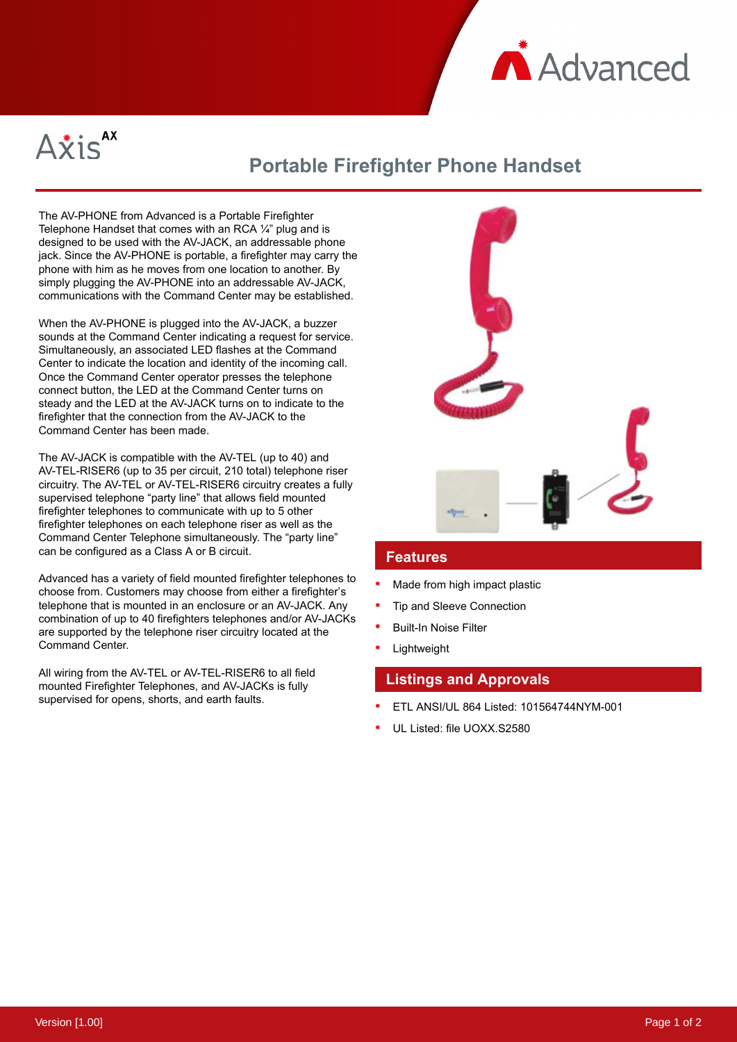



# **Portable Firefighter Phone Handset**

The AV-PHONE from Advanced is a Portable Firefighter Telephone Handset that comes with an RCA  $\frac{1}{4}$ " plug and is designed to be used with the AV-JACK, an addressable phone jack. Since the AV-PHONE is portable, a firefighter may carry the phone with him as he moves from one location to another. By simply plugging the AV-PHONE into an addressable AV-JACK, communications with the Command Center may be established.

When the AV-PHONE is plugged into the AV-JACK, a buzzer sounds at the Command Center indicating a request for service. Simultaneously, an associated LED flashes at the Command Center to indicate the location and identity of the incoming call. Once the Command Center operator presses the telephone connect button, the LED at the Command Center turns on steady and the LED at the AV-JACK turns on to indicate to the firefighter that the connection from the AV-JACK to the Command Center has been made.

The AV-JACK is compatible with the AV-TEL (up to 40) and AV-TEL-RISER6 (up to 35 per circuit, 210 total) telephone riser circuitry. The AV-TEL or AV-TEL-RISER6 circuitry creates a fully supervised telephone "party line" that allows field mounted firefighter telephones to communicate with up to 5 other firefighter telephones on each telephone riser as well as the Command Center Telephone simultaneously. The "party line" can be configured as a Class A or B circuit.

Advanced has a variety of field mounted firefighter telephones to choose from. Customers may choose from either a firefighter's telephone that is mounted in an enclosure or an AV-JACK. Any combination of up to 40 firefighters telephones and/or AV-JACKs are supported by the telephone riser circuitry located at the Command Center.

All wiring from the AV-TEL or AV-TEL-RISER6 to all field mounted Firefighter Telephones, and AV-JACKs is fully supervised for opens, shorts, and earth faults.



#### **Features**

- Made from high impact plastic
- Tip and Sleeve Connection
- Built-In Noise Filter
- Lightweight

### **Listings and Approvals**

- ETL ANSI/UL 864 Listed: 101564744NYM-001
- UL Listed: file UOXX.S2580